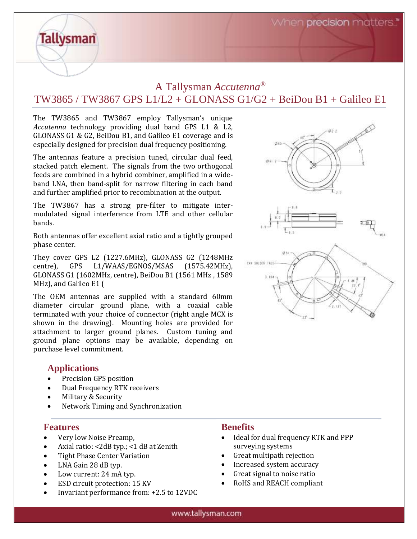When precision matters.

# A Tallysman *Accutenna®* TW3865 / TW3867 GPS L1/L2 + GLONASS G1/G2 + BeiDou B1 + Galileo E1

The TW3865 and TW3867 employ Tallysman's unique *Accutenna* technology providing dual band GPS L1 & L2, GLONASS G1 & G2, BeiDou B1, and Galileo E1 coverage and is especially designed for precision dual frequency positioning.

The antennas feature a precision tuned, circular dual feed, stacked patch element. The signals from the two orthogonal feeds are combined in a hybrid combiner, amplified in a wideband LNA, then band-split for narrow filtering in each band and further amplified prior to recombination at the output.

The TW3867 has a strong pre-filter to mitigate intermodulated signal interference from LTE and other cellular bands.

Both antennas offer excellent axial ratio and a tightly grouped phase center.

They cover GPS L2 (1227.6MHz), GLONASS G2 (1248MHz centre), GPS L1/WAAS/EGNOS/MSAS (1575.42MHz), GLONASS G1 (1602MHz, centre), BeiDou B1 (1561 MHz , 1589 MHz), and Galileo E1 (

The OEM antennas are supplied with a standard 60mm diameter circular ground plane, with a coaxial cable terminated with your choice of connector (right angle MCX is shown in the drawing). Mounting holes are provided for attachment to larger ground planes. Custom tuning and ground plane options may be available, depending on purchase level commitment.

#### **Applications**

**Tallysman** 

- Precision GPS position
- Dual Frequency RTK receivers
- Military & Security
- Network Timing and Synchronization

#### **Features**

- Very low Noise Preamp,
- Axial ratio: <2dB typ.; <1 dB at Zenith
- Tight Phase Center Variation
- LNA Gain 28 dB typ.
- Low current: 24 mA typ.
- ESD circuit protection: 15 KV
- Invariant performance from: +2.5 to 12VDC

## **Benefits**

- Ideal for dual frequency RTK and PPP surveying systems
- Great multipath rejection
- Increased system accuracy
- Great signal to noise ratio
- RoHS and REACH compliant